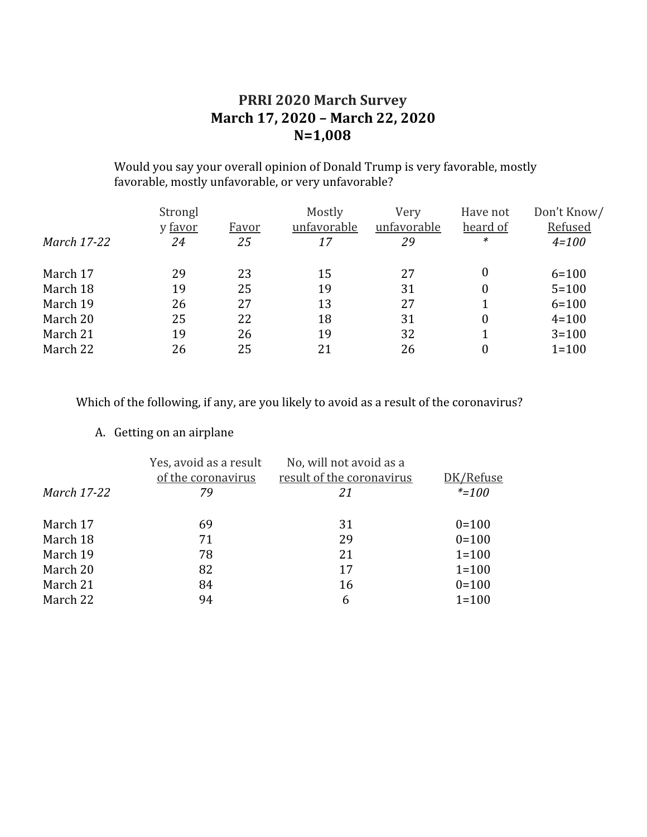#### **PRRI 2020 March Survey March 17, 2020 – March 22, 2020 N=1,008**

Would you say your overall opinion of Donald Trump is very favorable, mostly favorable, mostly unfavorable, or very unfavorable?

|             | Strongl |       | Mostly      | Very        | Have not         | Don't Know/ |
|-------------|---------|-------|-------------|-------------|------------------|-------------|
|             | y favor | Favor | unfavorable | unfavorable | heard of         | Refused     |
| March 17-22 | 24      | 25    | 17          | 29          | *                | $4 = 100$   |
| March 17    | 29      | 23    | 15          | 27          | $\boldsymbol{0}$ | $6 = 100$   |
| March 18    | 19      | 25    | 19          | 31          | 0                | $5 = 100$   |
| March 19    | 26      | 27    | 13          | 27          |                  | $6 = 100$   |
| March 20    | 25      | 22    | 18          | 31          | 0                | $4 = 100$   |
| March 21    | 19      | 26    | 19          | 32          |                  | $3 = 100$   |
| March 22    | 26      | 25    | 21          | 26          |                  | $1 = 100$   |

Which of the following, if any, are you likely to avoid as a result of the coronavirus?

#### A. Getting on an airplane

| <b>March 17-22</b> | Yes, avoid as a result<br>of the coronavirus<br>79 | No, will not avoid as a<br>result of the coronavirus<br>21 | DK/Refuse<br>$* = 100$ |
|--------------------|----------------------------------------------------|------------------------------------------------------------|------------------------|
| March 17           | 69                                                 | 31                                                         | $0 = 100$              |
| March 18           | 71                                                 | 29                                                         | $0=100$                |
| March 19           | 78                                                 | 21                                                         | $1 = 100$              |
| March 20           | 82                                                 | 17                                                         | $1 = 100$              |
| March 21           | 84                                                 | 16                                                         | $0=100$                |
| March 22           | 94                                                 | 6                                                          | $1 = 100$              |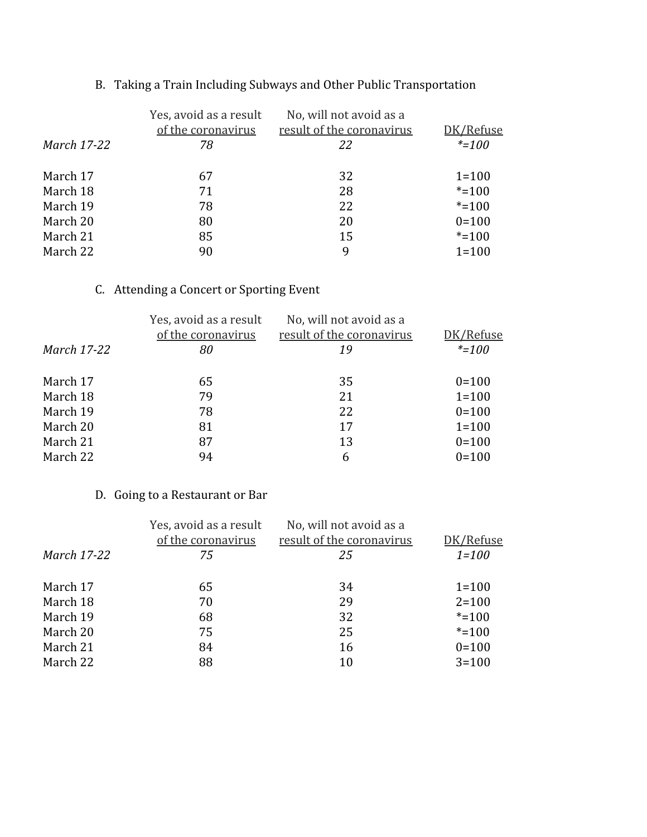| March 17-22 | Yes, avoid as a result<br>of the coronavirus<br>78 | No, will not avoid as a<br>result of the coronavirus<br>22 | DK/Refuse<br>$* = 100$ |
|-------------|----------------------------------------------------|------------------------------------------------------------|------------------------|
| March 17    | 67                                                 | 32                                                         | $1 = 100$              |
| March 18    | 71                                                 | 28                                                         | $* = 100$              |
| March 19    | 78                                                 | 22                                                         | $* = 100$              |
| March 20    | 80                                                 | 20                                                         | $0=100$                |
| March 21    | 85                                                 | 15                                                         | $* = 100$              |
| March 22    | 90                                                 | 9                                                          | $1 = 100$              |

# B. Taking a Train Including Subways and Other Public Transportation

### C. Attending a Concert or Sporting Event

|             | Yes, avoid as a result<br>of the coronavirus | No, will not avoid as a<br>result of the coronavirus | DK/Refuse |
|-------------|----------------------------------------------|------------------------------------------------------|-----------|
| March 17-22 | 80                                           | 19                                                   | $* = 100$ |
| March 17    | 65                                           | 35                                                   | $0=100$   |
| March 18    | 79                                           | 21                                                   | $1 = 100$ |
| March 19    | 78                                           | 22                                                   | $0=100$   |
| March 20    | 81                                           | 17                                                   | $1 = 100$ |
| March 21    | 87                                           | 13                                                   | $0=100$   |
| March 22    | 94                                           | 6                                                    | $0=100$   |

#### D. Going to a Restaurant or Bar

| March 17-22 | Yes, avoid as a result<br>of the coronavirus<br>75 | No, will not avoid as a<br>result of the coronavirus<br>25 | DK/Refuse<br>$1 = 100$ |
|-------------|----------------------------------------------------|------------------------------------------------------------|------------------------|
| March 17    | 65                                                 | 34                                                         | $1 = 100$              |
| March 18    | 70                                                 | 29                                                         | $2 = 100$              |
| March 19    | 68                                                 | 32                                                         | $* = 100$              |
| March 20    | 75                                                 | 25                                                         | $* = 100$              |
| March 21    | 84                                                 | 16                                                         | $0=100$                |
| March 22    | 88                                                 | 10                                                         | $3 = 100$              |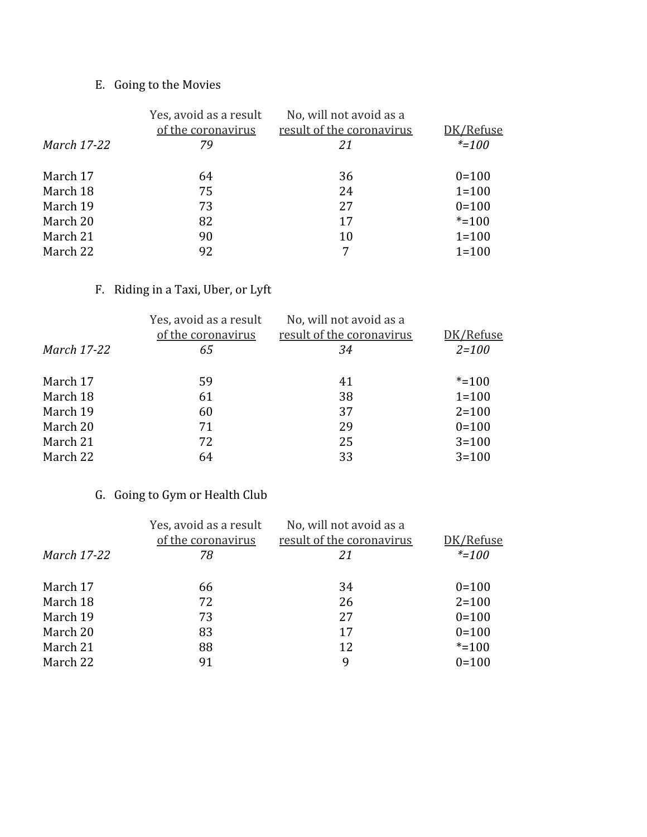# E. Going to the Movies

|                    | Yes, avoid as a result<br>of the coronavirus | No, will not avoid as a<br>result of the coronavirus | DK/Refuse |
|--------------------|----------------------------------------------|------------------------------------------------------|-----------|
| <b>March 17-22</b> | 79                                           | 21                                                   | $* = 100$ |
| March 17           | 64                                           | 36                                                   | $0 = 100$ |
| March 18           | 75                                           | 24                                                   | $1 = 100$ |
| March 19           | 73                                           | 27                                                   | $0=100$   |
| March 20           | 82                                           | 17                                                   | $* = 100$ |
| March 21           | 90                                           | 10                                                   | $1 = 100$ |
| March 22           | 92                                           |                                                      | $1 = 100$ |

### F. Riding in a Taxi, Uber, or Lyft

| Yes, avoid as a result<br>of the coronavirus | No, will not avoid as a<br>result of the coronavirus | DK/Refuse |
|----------------------------------------------|------------------------------------------------------|-----------|
| 65                                           | 34                                                   | $2 = 100$ |
| 59                                           | 41                                                   | $* = 100$ |
| 61                                           | 38                                                   | $1 = 100$ |
| 60                                           | 37                                                   | $2 = 100$ |
| 71                                           | 29                                                   | $0=100$   |
| 72                                           | 25                                                   | $3 = 100$ |
| 64                                           | 33                                                   | $3 = 100$ |
|                                              |                                                      |           |

## G. Going to Gym or Health Club

| <b>March 17-22</b> | Yes, avoid as a result<br>of the coronavirus<br>78 | No, will not avoid as a<br>result of the coronavirus<br>21 | DK/Refuse<br>$* = 100$ |
|--------------------|----------------------------------------------------|------------------------------------------------------------|------------------------|
| March 17           | 66                                                 | 34                                                         | $0 = 100$              |
| March 18           | 72                                                 | 26                                                         | $2 = 100$              |
| March 19           | 73                                                 | 27                                                         | $0=100$                |
| March 20           | 83                                                 | 17                                                         | $0=100$                |
| March 21           | 88                                                 | 12                                                         | $* = 100$              |
| March 22           | 91                                                 | 9                                                          | $0=100$                |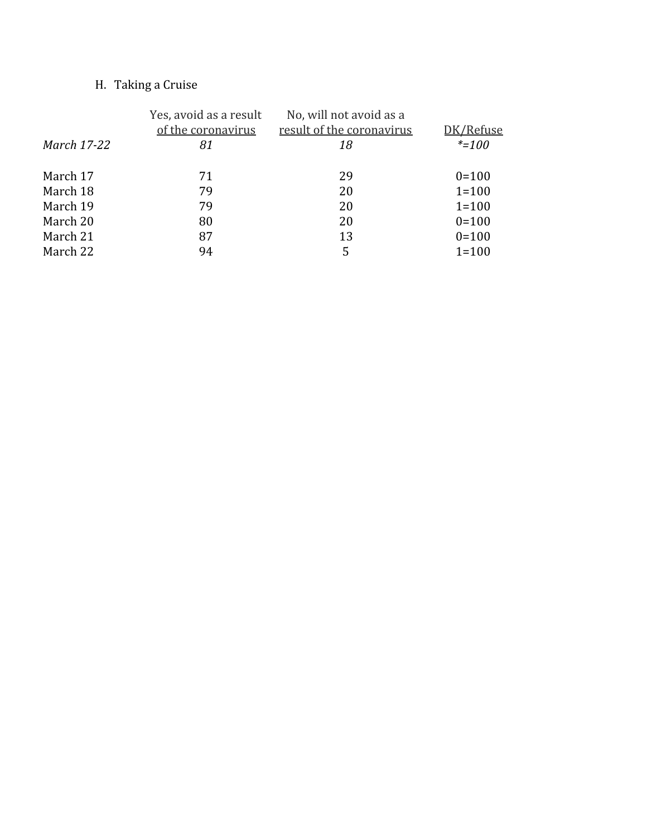## H. Taking a Cruise

|             | Yes, avoid as a result<br>of the coronavirus | No, will not avoid as a<br>result of the coronavirus | DK/Refuse |
|-------------|----------------------------------------------|------------------------------------------------------|-----------|
| March 17-22 | 81                                           | 18                                                   | $* = 100$ |
| March 17    | 71                                           | 29                                                   | $0 = 100$ |
| March 18    | 79                                           | 20                                                   | $1 = 100$ |
| March 19    | 79                                           | 20                                                   | $1 = 100$ |
| March 20    | 80                                           | 20                                                   | $0 = 100$ |
| March 21    | 87                                           | 13                                                   | $0 = 100$ |
| March 22    | 94                                           | 5                                                    | $1 = 100$ |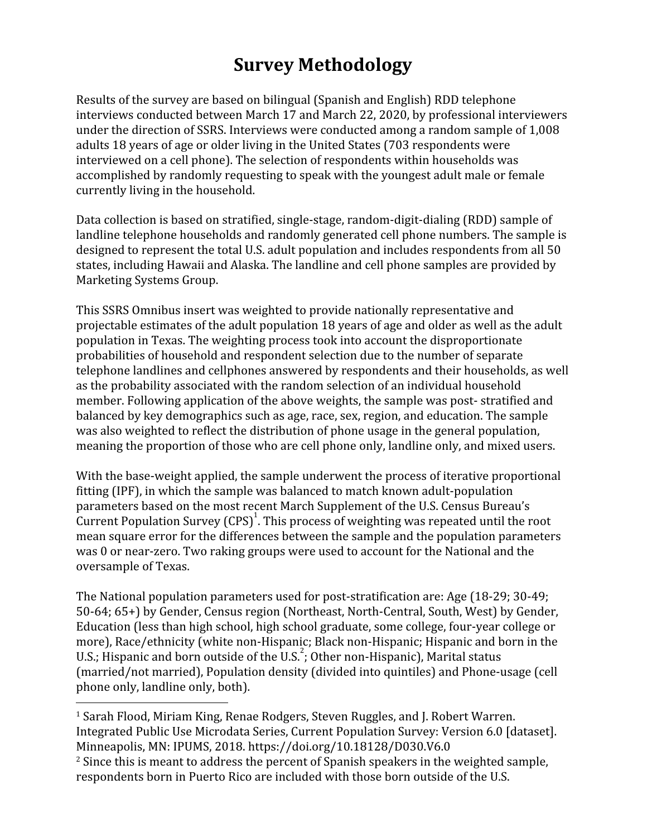# **Survey Methodology**

Results of the survey are based on bilingual (Spanish and English) RDD telephone interviews conducted between March 17 and March 22, 2020, by professional interviewers under the direction of SSRS. Interviews were conducted among a random sample of 1,008 adults 18 years of age or older living in the United States (703 respondents were interviewed on a cell phone). The selection of respondents within households was accomplished by randomly requesting to speak with the youngest adult male or female currently living in the household.

Data collection is based on stratified, single-stage, random-digit-dialing (RDD) sample of landline telephone households and randomly generated cell phone numbers. The sample is designed to represent the total U.S. adult population and includes respondents from all 50 states, including Hawaii and Alaska. The landline and cell phone samples are provided by Marketing Systems Group.

This SSRS Omnibus insert was weighted to provide nationally representative and projectable estimates of the adult population 18 years of age and older as well as the adult population in Texas. The weighting process took into account the disproportionate probabilities of household and respondent selection due to the number of separate telephone landlines and cellphones answered by respondents and their households, as well as the probability associated with the random selection of an individual household member. Following application of the above weights, the sample was post- stratified and balanced by key demographics such as age, race, sex, region, and education. The sample was also weighted to reflect the distribution of phone usage in the general population, meaning the proportion of those who are cell phone only, landline only, and mixed users.

With the base-weight applied, the sample underwent the process of iterative proportional fitting (IPF), in which the sample was balanced to match known adult-population parameters based on the most recent March Supplement of the U.S. Census Bureau's Current Population Survey  $(CPS)^{1}$ . This process of weighting was repeated until the root mean square error for the differences between the sample and the population parameters was 0 or near-zero. Two raking groups were used to account for the National and the oversample of Texas.

The National population parameters used for post-stratification are: Age (18-29; 30-49; 50-64; 65+) by Gender, Census region (Northeast, North-Central, South, West) by Gender, Education (less than high school, high school graduate, some college, four-year college or more), Race/ethnicity (white non-Hispanic; Black non-Hispanic; Hispanic and born in the U.S.; Hispanic and born outside of the U.S.<sup>2</sup>; Other non-Hispanic), Marital status (married/not married), Population density (divided into quintiles) and Phone-usage (cell phone only, landline only, both).

<sup>1</sup> Sarah Flood, Miriam King, Renae Rodgers, Steven Ruggles, and J. Robert Warren. Integrated Public Use Microdata Series, Current Population Survey: Version 6.0 [dataset]. Minneapolis, MN: IPUMS, 2018. https://doi.org/10.18128/D030.V6.0

 $^2$  Since this is meant to address the percent of Spanish speakers in the weighted sample, respondents born in Puerto Rico are included with those born outside of the U.S.